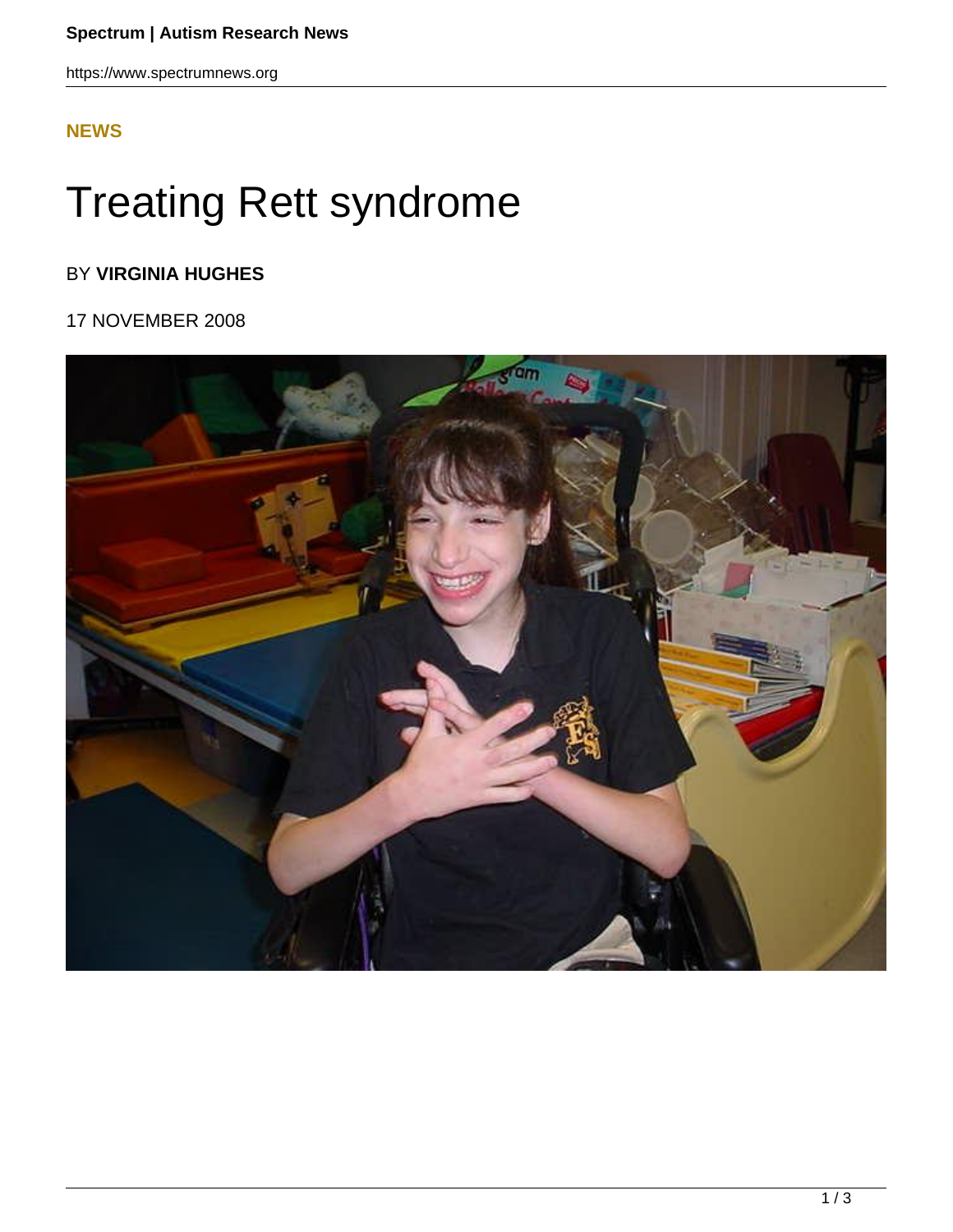https://www.spectrumnews.org

## **[NEWS](HTTPS://WWW.SPECTRUMNEWS.ORG/NEWS/)**

## Treating Rett syndrome

## BY **VIRGINIA HUGHES**

## 17 NOVEMBER 2008

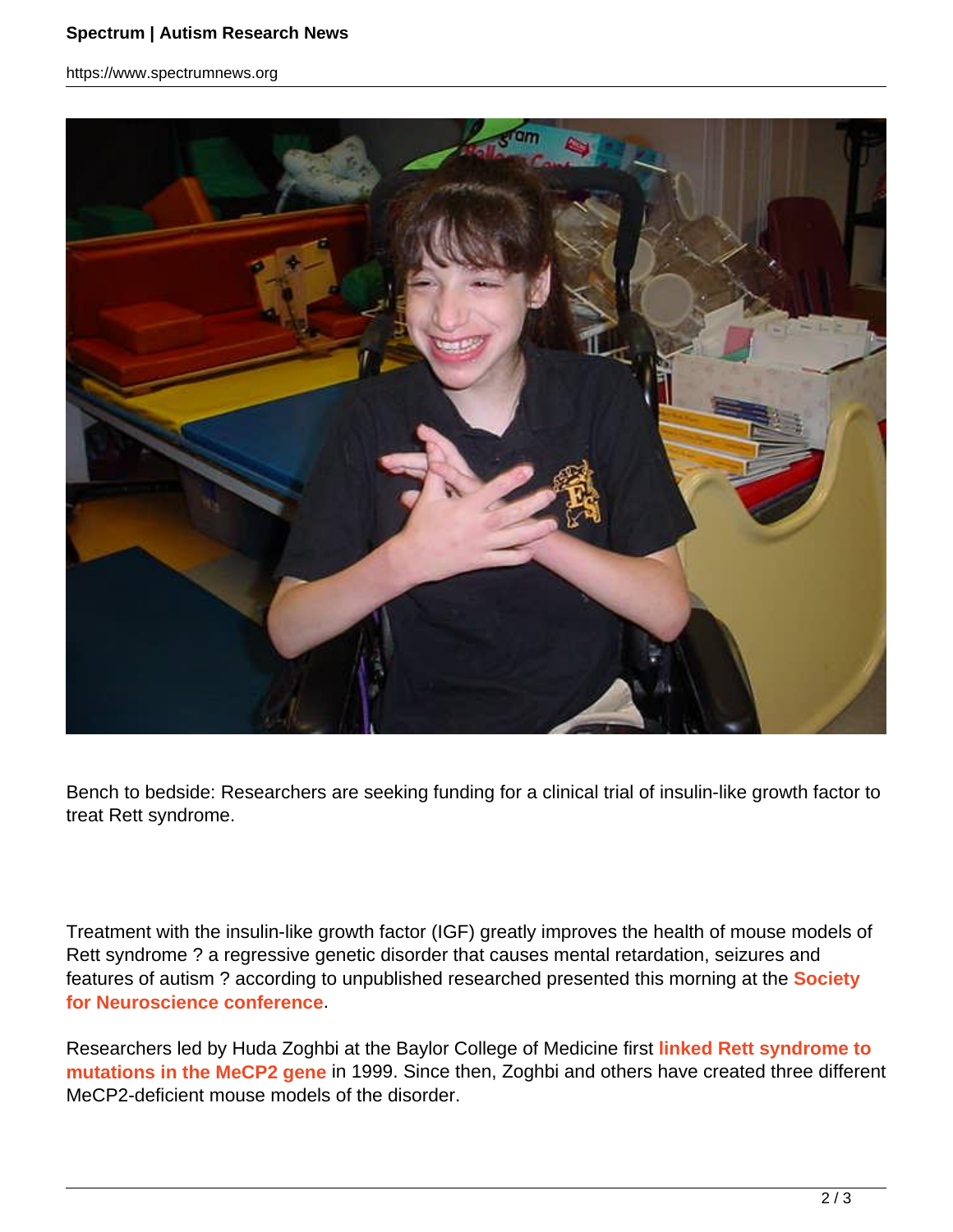https://www.spectrumnews.org



Bench to bedside: Researchers are seeking funding for a clinical trial of insulin-like growth factor to treat Rett syndrome.

Treatment with the insulin-like growth factor (IGF) greatly improves the health of mouse models of Rett syndrome ? a regressive genetic disorder that causes mental retardation, seizures and features of autism ? according to unpublished researched presented this morning at the **Society for Neuroscience conference**.

Researchers led by Huda Zoghbi at the Baylor College of Medicine first **linked Rett syndrome to mutations in the MeCP2 gene** in 1999. Since then, Zoghbi and others have created three different MeCP2-deficient mouse models of the disorder.